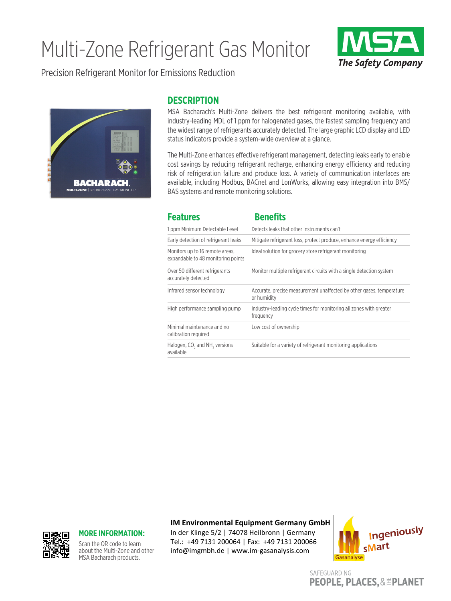## Multi-Zone Refrigerant Gas Monitor



Precision Refrigerant Monitor for Emissions Reduction



## **DESCRIPTION**

MSA Bacharach's Multi-Zone delivers the best refrigerant monitoring available, with industry-leading MDL of 1 ppm for halogenated gases, the fastest sampling frequency and the widest range of refrigerants accurately detected. The large graphic LCD display and LED status indicators provide a system-wide overview at a glance.

The Multi-Zone enhances effective refrigerant management, detecting leaks early to enable cost savings by reducing refrigerant recharge, enhancing energy efficiency and reducing risk of refrigeration failure and produce loss. A variety of communication interfaces are available, including Modbus, BACnet and LonWorks, allowing easy integration into BMS/ BAS systems and remote monitoring solutions.

| <b>Features</b>                                                       | <b>Benefits</b>                                                                     |  |
|-----------------------------------------------------------------------|-------------------------------------------------------------------------------------|--|
| 1 ppm Minimum Detectable Level                                        | Detects leaks that other instruments can't                                          |  |
| Early detection of refrigerant leaks                                  | Mitigate refrigerant loss, protect produce, enhance energy efficiency               |  |
| Monitors up to 16 remote areas,<br>expandable to 48 monitoring points | Ideal solution for grocery store refrigerant monitoring                             |  |
| Over 50 different refrigerants<br>accurately detected                 | Monitor multiple refrigerant circuits with a single detection system                |  |
| Infrared sensor technology                                            | Accurate, precise measurement unaffected by other gases, temperature<br>or humidity |  |
| High performance sampling pump                                        | Industry-leading cycle times for monitoring all zones with greater<br>frequency     |  |
| Minimal maintenance and no<br>calibration required                    | Low cost of ownership                                                               |  |
| Halogen, CO <sub>2</sub> and NH <sub>2</sub> versions<br>available    | Suitable for a variety of refrigerant monitoring applications                       |  |

**IM Environmental Equipment Germany GmbH**



## **MORE INFORMATION:**

Scan the QR code to learn about the Multi-Zone and other MSA Bacharach products.

In der Klinge 5/2 | 74078 Heilbronn | Germany Tel.: +49 7131 200064 | Fax: +49 7131 200066 info@imgmbh.de | www.im-gasanalysis.com



SAFEGUARDING **PEOPLE, PLACES, & EPLANET**